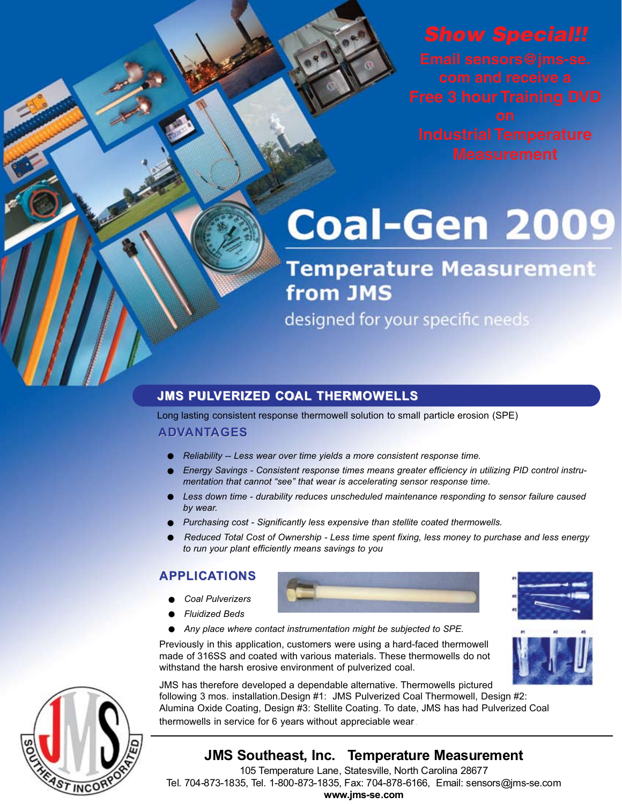**Industrial Temperature** 

# **Coal-Gen 2009**

## **Temperature Measurement** from JMS

designed for your specific needs

#### **JMS PULVERIZED COAL THERMOWELLS**

Long lasting consistent response thermowell solution to small particle erosion (SPE)

#### **ADVANTAGES**

- *• Reliability -- Less wear over time yields a more consistent response time.*
- *• Energy Savings Consistent response times means greater efficiency in utilizing PID control instru- mentation that cannot "see" that wear is accelerating sensor response time.*
- *• Less down time durability reduces unscheduled maintenance responding to sensor failure caused by wear.*
- *• Purchasing cost Significantly less expensive than stellite coated thermowells.*
- *• Reduced Total Cost of Ownership Less time spent fixing, less money to purchase and less energy to run your plant efficiently means savings to you*

#### **APPLICATIONS**

- *• Coal Pulverizers*
- 
- *• Fluidized Beds*

Previously in this application, customers were using a hard-faced thermowell made of 316SS and coated with various materials. These thermowells do not withstand the harsh erosive environment of pulverized coal.

JMS has therefore developed a dependable alternative. Thermowells pictured<br>following 3 mos. installation.Design #1: JMS Pulverized Coal Thermowell, Design #2: Alumina Oxide Coating, Design #3: Stellite Coating. To date, JMS has had Pulverized Coal thermowells in service for 6 years without appreciable wear

### **JMS Southeast, Inc. Temperature Measurement**

105 Temperature Lane, Statesville, North Carolina 28677 Tel. 704-873-1835, Tel. 1-800-873-1835, Fax: 704-878-6166, Email: sensors@jms-se.com **www.jms-se.com**